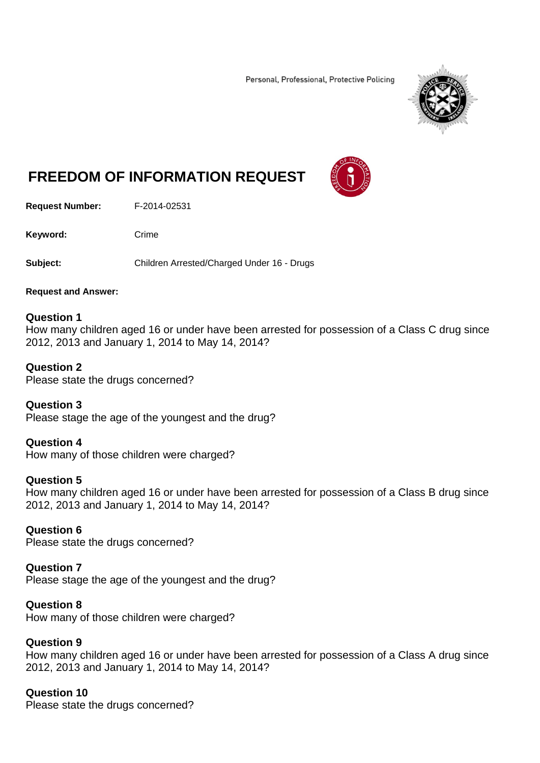Personal, Professional, Protective Policing



# **FREEDOM OF INFORMATION REQUEST**

**Request Number:** F-2014-02531

Keyword: Crime

**Subject:** Children Arrested/Charged Under 16 - Drugs

**Request and Answer:** 

## **Question 1**

How many children aged 16 or under have been arrested for possession of a Class C drug since 2012, 2013 and January 1, 2014 to May 14, 2014?

## **Question 2**

Please state the drugs concerned?

**Question 3** 

Please stage the age of the youngest and the drug?

## **Question 4**

How many of those children were charged?

## **Question 5**

How many children aged 16 or under have been arrested for possession of a Class B drug since 2012, 2013 and January 1, 2014 to May 14, 2014?

## **Question 6**

Please state the drugs concerned?

## **Question 7**

Please stage the age of the youngest and the drug?

## **Question 8**

How many of those children were charged?

## **Question 9**

How many children aged 16 or under have been arrested for possession of a Class A drug since 2012, 2013 and January 1, 2014 to May 14, 2014?

## **Question 10**

Please state the drugs concerned?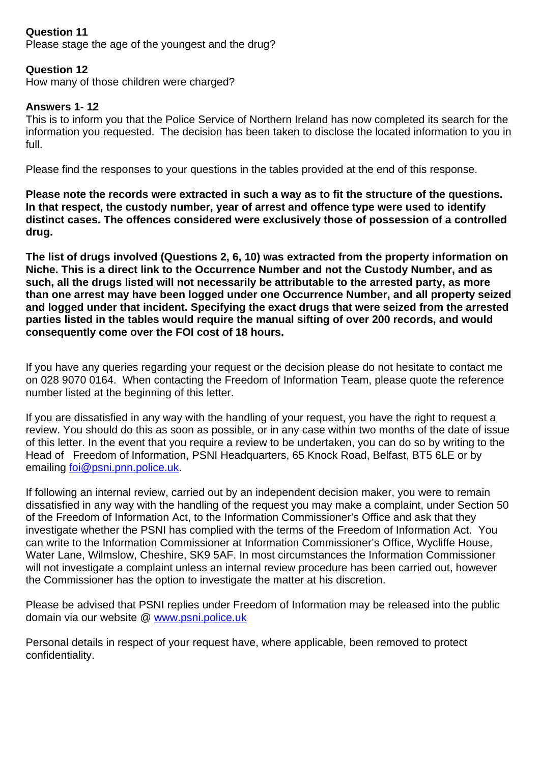# **Question 11**

Please stage the age of the youngest and the drug?

## **Question 12**

How many of those children were charged?

## **Answers 1- 12**

This is to inform you that the Police Service of Northern Ireland has now completed its search for the information you requested. The decision has been taken to disclose the located information to you in full.

Please find the responses to your questions in the tables provided at the end of this response.

**Please note the records were extracted in such a way as to fit the structure of the questions. In that respect, the custody number, year of arrest and offence type were used to identify distinct cases. The offences considered were exclusively those of possession of a controlled drug.** 

**The list of drugs involved (Questions 2, 6, 10) was extracted from the property information on Niche. This is a direct link to the Occurrence Number and not the Custody Number, and as such, all the drugs listed will not necessarily be attributable to the arrested party, as more than one arrest may have been logged under one Occurrence Number, and all property seized and logged under that incident. Specifying the exact drugs that were seized from the arrested parties listed in the tables would require the manual sifting of over 200 records, and would consequently come over the FOI cost of 18 hours.** 

If you have any queries regarding your request or the decision please do not hesitate to contact me on 028 9070 0164. When contacting the Freedom of Information Team, please quote the reference number listed at the beginning of this letter.

If you are dissatisfied in any way with the handling of your request, you have the right to request a review. You should do this as soon as possible, or in any case within two months of the date of issue of this letter. In the event that you require a review to be undertaken, you can do so by writing to the Head of Freedom of Information, PSNI Headquarters, 65 Knock Road, Belfast, BT5 6LE or by emailing foi@psni.pnn.police.uk.

If following an internal review, carried out by an independent decision maker, you were to remain dissatisfied in any way with the handling of the request you may make a complaint, under Section 50 of the Freedom of Information Act, to the Information Commissioner's Office and ask that they investigate whether the PSNI has complied with the terms of the Freedom of Information Act. You can write to the Information Commissioner at Information Commissioner's Office, Wycliffe House, Water Lane, Wilmslow, Cheshire, SK9 5AF. In most circumstances the Information Commissioner will not investigate a complaint unless an internal review procedure has been carried out, however the Commissioner has the option to investigate the matter at his discretion.

Please be advised that PSNI replies under Freedom of Information may be released into the public domain via our website @ www.psni.police.uk

Personal details in respect of your request have, where applicable, been removed to protect confidentiality.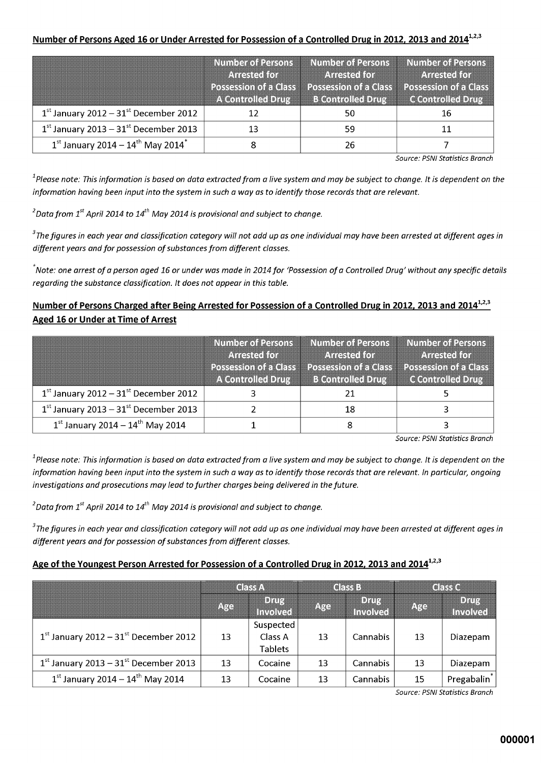#### Number of Persons Aged 16 or Under Arrested for Possession of a Controlled Drug in 2012, 2013 and 2014<sup>1,2,3</sup>

|                                                                 | <b>Number of Persons</b><br><b>Arrested for</b><br><b>Possession of a Class</b><br><b>A Controlled Drug</b> | <b>Number of Persons</b><br><b>Arrested for</b><br>Possession of a Class<br><b>B Controlled Drug</b> | <b>Number of Persons</b><br><b>Arrested for</b><br><b>Possession of a Class</b><br><b>CControlled Drug</b> |
|-----------------------------------------------------------------|-------------------------------------------------------------------------------------------------------------|------------------------------------------------------------------------------------------------------|------------------------------------------------------------------------------------------------------------|
| $1st$ January 2012 – 31 $st$ December 2012                      |                                                                                                             |                                                                                                      | 16                                                                                                         |
| $1st$ January 2013 – 31 $st$ December 2013                      |                                                                                                             |                                                                                                      |                                                                                                            |
| $1^{\rm st}$ January 2014 – $14^{\rm th}$ May 2014 <sup>*</sup> |                                                                                                             |                                                                                                      |                                                                                                            |

Source: PSNI Statistics Branch

 $^1$ Please note: This information is based on data extracted from a live system and may be subject to change. It is dependent on the information having been input into the system in such a way as to identify those records that are relevant.

 $^2$ Data from 1 $^{\rm st}$  April 2014 to 14 $^{\rm th}$  May 2014 is provisional and subject to change.

 $^{\text{3}}$ The figures in each year and classification category will not add up as one individual may have been arrested at different ages in different years and for possession of substances from different classes.

 $\;\;\tilde{}\;$ Note: one arrest of a person aged 16 or under was made in 2014 for 'Possession of a Controlled Drug' without any specific details regarding the substance classification. It does not appear in this table.

#### Number of Persons Charged after Being Arrested for Possession of a Controlled Drug in 2012, 2013 and 2014<sup>1,2,3</sup> **Aged 16 or Under at Time of Arrest**

|                                                          | <b>Number of Persons</b><br><b>Arrested for</b><br><b>Possession of a Class</b><br><b>A Controlled Drug</b> | <b>Number of Persons</b><br><b>Arrested for</b><br><b>Possession of a Class</b><br><b>B Controlled Drug</b> | <b>Number of Persons</b><br><b>Arrested for</b><br>Possession of a Class<br><b>C</b> Controlled Drug |
|----------------------------------------------------------|-------------------------------------------------------------------------------------------------------------|-------------------------------------------------------------------------------------------------------------|------------------------------------------------------------------------------------------------------|
| $1st$ January 2012 – 31 $st$ December 2012               |                                                                                                             |                                                                                                             |                                                                                                      |
| $1st$ January 2013 – 31 $st$ December 2013               |                                                                                                             |                                                                                                             |                                                                                                      |
| $1^{\text{st}}$ January 2014 – $14^{\text{th}}$ May 2014 |                                                                                                             |                                                                                                             |                                                                                                      |

Source: PSNI Statistics Branch

 $^1$ Please note: This information is based on data extracted from a live system and may be subject to change. It is dependent on the information having been input into the system in such a way as to identify those records that are relevant. In particular, ongoing investigations and prosecutions may lead to further charges being delivered in the future.

 $^{2}$ Data from 1<sup>st</sup> April 2014 to 14<sup>th</sup> May 2014 is provisional and subject to change.

 $^{\rm 3}$ The figures in each year and classification category will not add up as one individual may have been arrested at different ages in different years and for possession of substances from different classes.

## Age of the Youngest Person Arrested for Possession of a Controlled Drug in 2012, 2013 and 2014<sup>1,2,3</sup>

|                                                          | <b>CONSIGNATION</b> |                                        | <b>CERSES</b> |                         | <b>GERSTE</b> |                                |
|----------------------------------------------------------|---------------------|----------------------------------------|---------------|-------------------------|---------------|--------------------------------|
|                                                          | ARE                 | Drug<br>Involved                       | <b>LYSS</b>   | DIUE<br><b>Involved</b> | WKS           | <b>Drug</b><br><b>Involved</b> |
| $1st$ January 2012 – 31 $st$ December 2012               | 13                  | Suspected<br>Class A<br><b>Tablets</b> | -13           | Cannabis                | 13            | Diazepam                       |
| $1st$ January 2013 – 31 $st$ December 2013               | 13                  | Cocaine                                | -13           | Cannabis                | 13            | Diazepam                       |
| $1^{\text{st}}$ January 2014 – $14^{\text{th}}$ May 2014 | 13                  | Cocaine                                | 13            | Cannabis                | 15            | Pregabalin                     |

Source: PSNI Statistics Branch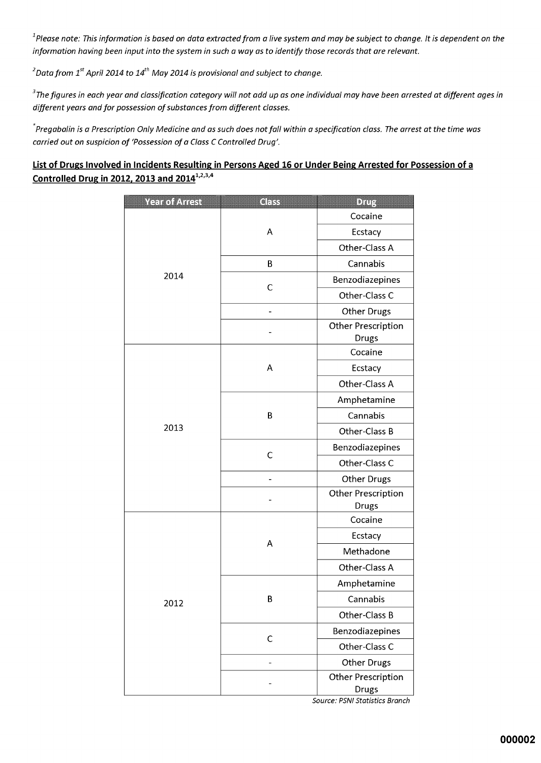$^{1}$ Please note: This information is based on data extracted from a live system and may be subject to change. It is dependent on the information having been input into the system in such a way as to identify those records that are relevant.

 $^{2}$ Data from 1<sup>st</sup> April 2014 to 14<sup>th</sup> May 2014 is provisional and subject to change.

 $^{\rm 3}$ The figures in each year and classification category will not add up as one individual may have been arrested at different ages in different years and for possession of substances from different classes.

 $\;\mathring{~}$ Pregabalin is a Prescription Only Medicine and as such does not fall within a specification class. The arrest at the time was carried out on suspicion of 'Possession of a Class C Controlled Drug'.

#### List of Drugs Involved in Incidents Resulting in Persons Aged 16 or Under Being Arrested for Possession of a Controlled Drug in 2012, 2013 and 2014<sup>1,2,3,4</sup>

| <b>Year of Arrest</b> | Class                                     | Drug                                                                 |  |
|-----------------------|-------------------------------------------|----------------------------------------------------------------------|--|
|                       |                                           | Cocaine                                                              |  |
|                       | Α                                         | Ecstacy                                                              |  |
|                       |                                           | Other-Class A                                                        |  |
|                       | B                                         | Cannabis                                                             |  |
| 2014                  | C                                         | Benzodiazepines                                                      |  |
|                       |                                           | Other-Class C                                                        |  |
|                       |                                           | <b>Other Drugs</b>                                                   |  |
|                       |                                           | <b>Other Prescription</b><br>Drugs                                   |  |
|                       |                                           | Cocaine                                                              |  |
|                       | A                                         | Ecstacy                                                              |  |
|                       |                                           | Other-Class A                                                        |  |
|                       |                                           | Amphetamine                                                          |  |
|                       | В                                         | Cannabis                                                             |  |
| 2013                  |                                           | Other-Class B                                                        |  |
|                       | C                                         | Benzodiazepines                                                      |  |
|                       |                                           | Other-Class C                                                        |  |
|                       | L                                         | <b>Other Drugs</b>                                                   |  |
|                       | <b>Other Prescription</b><br><b>Drugs</b> |                                                                      |  |
|                       |                                           | Cocaine                                                              |  |
|                       | A                                         | Ecstacy                                                              |  |
| 2012                  |                                           | Methadone                                                            |  |
|                       |                                           | Other-Class A                                                        |  |
|                       |                                           | Amphetamine                                                          |  |
|                       | B                                         | Cannabis                                                             |  |
|                       |                                           | Other-Class B                                                        |  |
|                       |                                           | Benzodiazepines                                                      |  |
|                       | С                                         | Other-Class C                                                        |  |
|                       |                                           | <b>Other Drugs</b>                                                   |  |
|                       |                                           | <b>Other Prescription</b><br>Drugs<br>Source: PSNI Statistics Branch |  |

000002